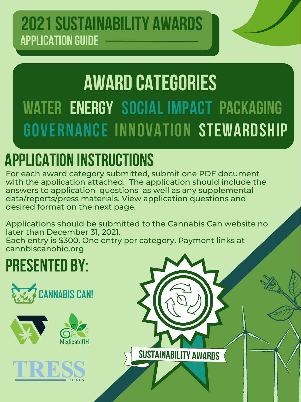**SUSTAINABILITY AWARDS**

#### **2021 Sustainability awards application guide**

# **award categories WATER energy SOCIAL IMPACT packaging governance innovation STEWARDSHIP**

### **application instructions**

For each award category submitted, submit one PDF document with the application attached. The application should include the answers to application questions as well as any supplemental data/reports/press materials. View application questions and desired format on the next page.



Applications should be submitted to the Cannabis Can website no later than December 31, 2021. Each entry is \$300. One entry per category. Payment links at cannbiscanohio.org

# **PRESENTED BY:**







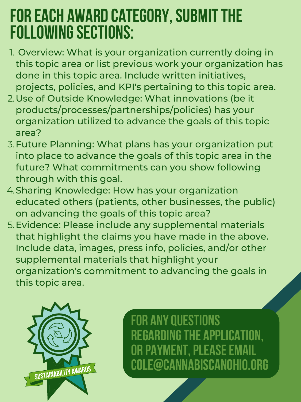- 1. Overview: What is your organization currently doing in this topic area or list previous work your organization has done in this topic area. Include written initiatives, projects, policies, and KPI's pertaining to this topic area.
- 2. Use of Outside Knowledge: What innovations (be it products/processes/partnerships/policies) has your organization utilized to advance the goals of this topic area?
- 3. Future Planning: What plans has your organization put into place to advance the goals of this topic area in the future? What commitments can you show following through with this goal.
- 4. Sharing Knowledge: How has your organization educated others (patients, other businesses, the public)

5. Evidence: Please include any supplemental materials that highlight the claims you have made in the above. Include data, images, press info, policies, and/or other supplemental materials that highlight your organization's commitment to advancing the goals in this topic area.

on advancing the goals of this topic area?

#### **FOR EACH AWARD CATEGORY,SUBMITTHE FOLLOWINGSECTIONS:**

**for anyquestions REGARDING THE APPLICA OR PAYMENT, PLEASE EMAIL cole@cannabiscanohio.org**